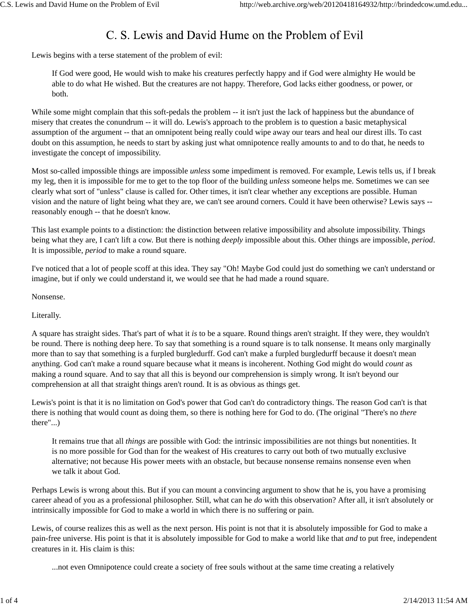## C. S. Lewis and David Hume on the Problem of Evil

Lewis begins with a terse statement of the problem of evil:

If God were good, He would wish to make his creatures perfectly happy and if God were almighty He would be able to do what He wished. But the creatures are not happy. Therefore, God lacks either goodness, or power, or both.

While some might complain that this soft-pedals the problem -- it isn't just the lack of happiness but the abundance of misery that creates the conundrum -- it will do. Lewis's approach to the problem is to question a basic metaphysical assumption of the argument -- that an omnipotent being really could wipe away our tears and heal our direst ills. To cast doubt on this assumption, he needs to start by asking just what omnipotence really amounts to and to do that, he needs to investigate the concept of impossibility.

Most so-called impossible things are impossible *unless* some impediment is removed. For example, Lewis tells us, if I break my leg, then it is impossible for me to get to the top floor of the building *unless* someone helps me. Sometimes we can see clearly what sort of "unless" clause is called for. Other times, it isn't clear whether any exceptions are possible. Human vision and the nature of light being what they are, we can't see around corners. Could it have been otherwise? Lewis says - reasonably enough -- that he doesn't know.

This last example points to a distinction: the distinction between relative impossibility and absolute impossibility. Things being what they are, I can't lift a cow. But there is nothing *deeply* impossible about this. Other things are impossible, *period*. It is impossible, *period* to make a round square.

I've noticed that a lot of people scoff at this idea. They say "Oh! Maybe God could just do something we can't understand or imagine, but if only we could understand it, we would see that he had made a round square.

Nonsense.

Literally.

A square has straight sides. That's part of what it *is* to be a square. Round things aren't straight. If they were, they wouldn't be round. There is nothing deep here. To say that something is a round square is to talk nonsense. It means only marginally more than to say that something is a furpled burgledurff. God can't make a furpled burgledurff because it doesn't mean anything. God can't make a round square because what it means is incoherent. Nothing God might do would *count* as making a round square. And to say that all this is beyond our comprehension is simply wrong. It isn't beyond our comprehension at all that straight things aren't round. It is as obvious as things get.

Lewis's point is that it is no limitation on God's power that God can't do contradictory things. The reason God can't is that there is nothing that would count as doing them, so there is nothing here for God to do. (The original "There's no *there* there"...)

It remains true that all *things* are possible with God: the intrinsic impossibilities are not things but nonentities. It is no more possible for God than for the weakest of His creatures to carry out both of two mutually exclusive alternative; not because His power meets with an obstacle, but because nonsense remains nonsense even when we talk it about God.

Perhaps Lewis is wrong about this. But if you can mount a convincing argument to show that he is, you have a promising career ahead of you as a professional philosopher. Still, what can he *do* with this observation? After all, it isn't absolutely or intrinsically impossible for God to make a world in which there is no suffering or pain.

Lewis, of course realizes this as well as the next person. His point is not that it is absolutely impossible for God to make a pain-free universe. His point is that it is absolutely impossible for God to make a world like that *and* to put free, independent creatures in it. His claim is this:

...not even Omnipotence could create a society of free souls without at the same time creating a relatively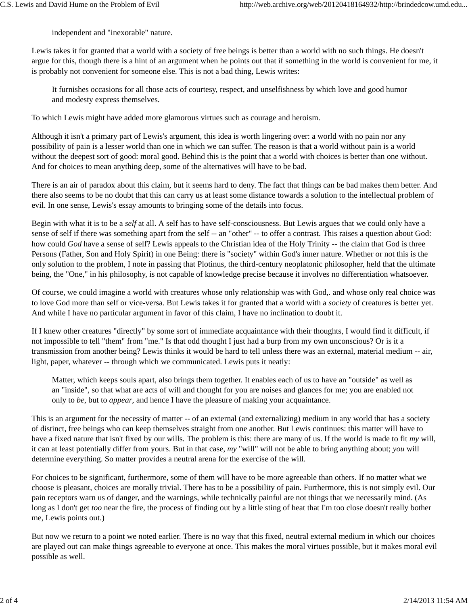independent and "inexorable" nature.

Lewis takes it for granted that a world with a society of free beings is better than a world with no such things. He doesn't argue for this, though there is a hint of an argument when he points out that if something in the world is convenient for me, it is probably not convenient for someone else. This is not a bad thing, Lewis writes:

It furnishes occasions for all those acts of courtesy, respect, and unselfishness by which love and good humor and modesty express themselves.

To which Lewis might have added more glamorous virtues such as courage and heroism.

Although it isn't a primary part of Lewis's argument, this idea is worth lingering over: a world with no pain nor any possibility of pain is a lesser world than one in which we can suffer. The reason is that a world without pain is a world without the deepest sort of good: moral good. Behind this is the point that a world with choices is better than one without. And for choices to mean anything deep, some of the alternatives will have to be bad.

There is an air of paradox about this claim, but it seems hard to deny. The fact that things can be bad makes them better. And there also seems to be no doubt that this can carry us at least some distance towards a solution to the intellectual problem of evil. In one sense, Lewis's essay amounts to bringing some of the details into focus.

Begin with what it is to be a *self* at all. A self has to have self-consciousness. But Lewis argues that we could only have a sense of self if there was something apart from the self -- an "other" -- to offer a contrast. This raises a question about God: how could *God* have a sense of self? Lewis appeals to the Christian idea of the Holy Trinity -- the claim that God is three Persons (Father, Son and Holy Spirit) in one Being: there is "society" within God's inner nature. Whether or not this is the only solution to the problem, I note in passing that Plotinus, the third-century neoplatonic philosopher, held that the ultimate being, the "One," in his philosophy, is not capable of knowledge precise because it involves no differentiation whatsoever.

Of course, we could imagine a world with creatures whose only relationship was with God,. and whose only real choice was to love God more than self or vice-versa. But Lewis takes it for granted that a world with a *society* of creatures is better yet. And while I have no particular argument in favor of this claim, I have no inclination to doubt it.

If I knew other creatures "directly" by some sort of immediate acquaintance with their thoughts, I would find it difficult, if not impossible to tell "them" from "me." Is that odd thought I just had a burp from my own unconscious? Or is it a transmission from another being? Lewis thinks it would be hard to tell unless there was an external, material medium -- air, light, paper, whatever -- through which we communicated. Lewis puts it neatly:

Matter, which keeps souls apart, also brings them together. It enables each of us to have an "outside" as well as an "inside", so that what are acts of will and thought for you are noises and glances for me; you are enabled not only to *be*, but to *appear*, and hence I have the pleasure of making your acquaintance.

This is an argument for the necessity of matter -- of an external (and externalizing) medium in any world that has a society of distinct, free beings who can keep themselves straight from one another. But Lewis continues: this matter will have to have a fixed nature that isn't fixed by our wills. The problem is this: there are many of us. If the world is made to fit *my* will, it can at least potentially differ from yours. But in that case, *my* "will" will not be able to bring anything about; *you* will determine everything. So matter provides a neutral arena for the exercise of the will.

For choices to be significant, furthermore, some of them will have to be more agreeable than others. If no matter what we choose is pleasant, choices are morally trivial. There has to be a possibility of pain. Furthermore, this is not simply evil. Our pain receptors warn us of danger, and the warnings, while technically painful are not things that we necessarily mind. (As long as I don't get *too* near the fire, the process of finding out by a little sting of heat that I'm too close doesn't really bother me, Lewis points out.)

But now we return to a point we noted earlier. There is no way that this fixed, neutral external medium in which our choices are played out can make things agreeable to everyone at once. This makes the moral virtues possible, but it makes moral evil possible as well.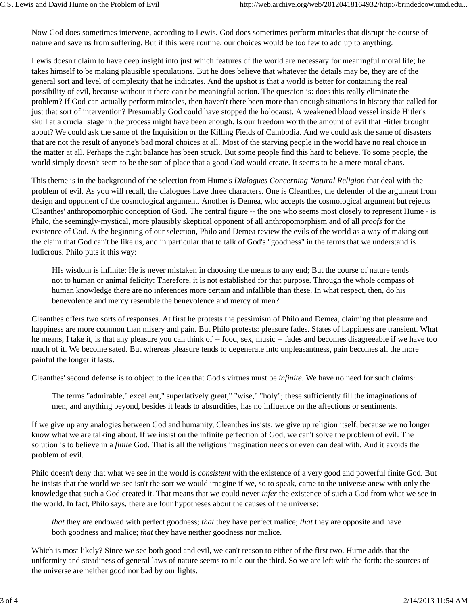Now God does sometimes intervene, according to Lewis. God does sometimes perform miracles that disrupt the course of nature and save us from suffering. But if this were routine, our choices would be too few to add up to anything.

Lewis doesn't claim to have deep insight into just which features of the world are necessary for meaningful moral life; he takes himself to be making plausible speculations. But he does believe that whatever the details may be, they are of the general sort and level of complexity that he indicates. And the upshot is that a world is better for containing the real possibility of evil, because without it there can't be meaningful action. The question is: does this really eliminate the problem? If God can actually perform miracles, then haven't there been more than enough situations in history that called for just that sort of intervention? Presumably God could have stopped the holocaust. A weakened blood vessel inside Hitler's skull at a crucial stage in the process might have been enough. Is our freedom worth the amount of evil that Hitler brought about? We could ask the same of the Inquisition or the Killing Fields of Cambodia. And we could ask the same of disasters that are not the result of anyone's bad moral choices at all. Most of the starving people in the world have no real choice in the matter at all. Perhaps the right balance has been struck. But some people find this hard to believe. To some people, the world simply doesn't seem to be the sort of place that a good God would create. It seems to be a mere moral chaos.

This theme is in the background of the selection from Hume's *Dialogues Concerning Natural Religion* that deal with the problem of evil. As you will recall, the dialogues have three characters. One is Cleanthes, the defender of the argument from design and opponent of the cosmological argument. Another is Demea, who accepts the cosmological argument but rejects Cleanthes' anthropomorphic conception of God. The central figure -- the one who seems most closely to represent Hume - is Philo, the seemingly-mystical, more plausibly skeptical opponent of all anthropomorphism and of all *proofs* for the existence of God. A the beginning of our selection, Philo and Demea review the evils of the world as a way of making out the claim that God can't be like us, and in particular that to talk of God's "goodness" in the terms that we understand is ludicrous. Philo puts it this way:

HIs wisdom is infinite; He is never mistaken in choosing the means to any end; But the course of nature tends not to human or animal felicity: Therefore, it is not established for that purpose. Through the whole compass of human knowledge there are no inferences more certain and infallible than these. In what respect, then, do his benevolence and mercy resemble the benevolence and mercy of men?

Cleanthes offers two sorts of responses. At first he protests the pessimism of Philo and Demea, claiming that pleasure and happiness are more common than misery and pain. But Philo protests: pleasure fades. States of happiness are transient. What he means, I take it, is that any pleasure you can think of -- food, sex, music -- fades and becomes disagreeable if we have too much of it. We become sated. But whereas pleasure tends to degenerate into unpleasantness, pain becomes all the more painful the longer it lasts.

Cleanthes' second defense is to object to the idea that God's virtues must be *infinite*. We have no need for such claims:

The terms "admirable," excellent," superlatively great," "wise," "holy"; these sufficiently fill the imaginations of men, and anything beyond, besides it leads to absurdities, has no influence on the affections or sentiments.

If we give up any analogies between God and humanity, Cleanthes insists, we give up religion itself, because we no longer know what we are talking about. If we insist on the infinite perfection of God, we can't solve the problem of evil. The solution is to believe in a *finite* God. That is all the religious imagination needs or even can deal with. And it avoids the problem of evil.

Philo doesn't deny that what we see in the world is *consistent* with the existence of a very good and powerful finite God. But he insists that the world we see isn't the sort we would imagine if we, so to speak, came to the universe anew with only the knowledge that such a God created it. That means that we could never *infer* the existence of such a God from what we see in the world. In fact, Philo says, there are four hypotheses about the causes of the universe:

*that* they are endowed with perfect goodness; *that* they have perfect malice; *that* they are opposite and have both goodness and malice; *that* they have neither goodness nor malice.

Which is most likely? Since we see both good and evil, we can't reason to either of the first two. Hume adds that the uniformity and steadiness of general laws of nature seems to rule out the third. So we are left with the forth: the sources of the universe are neither good nor bad by our lights.